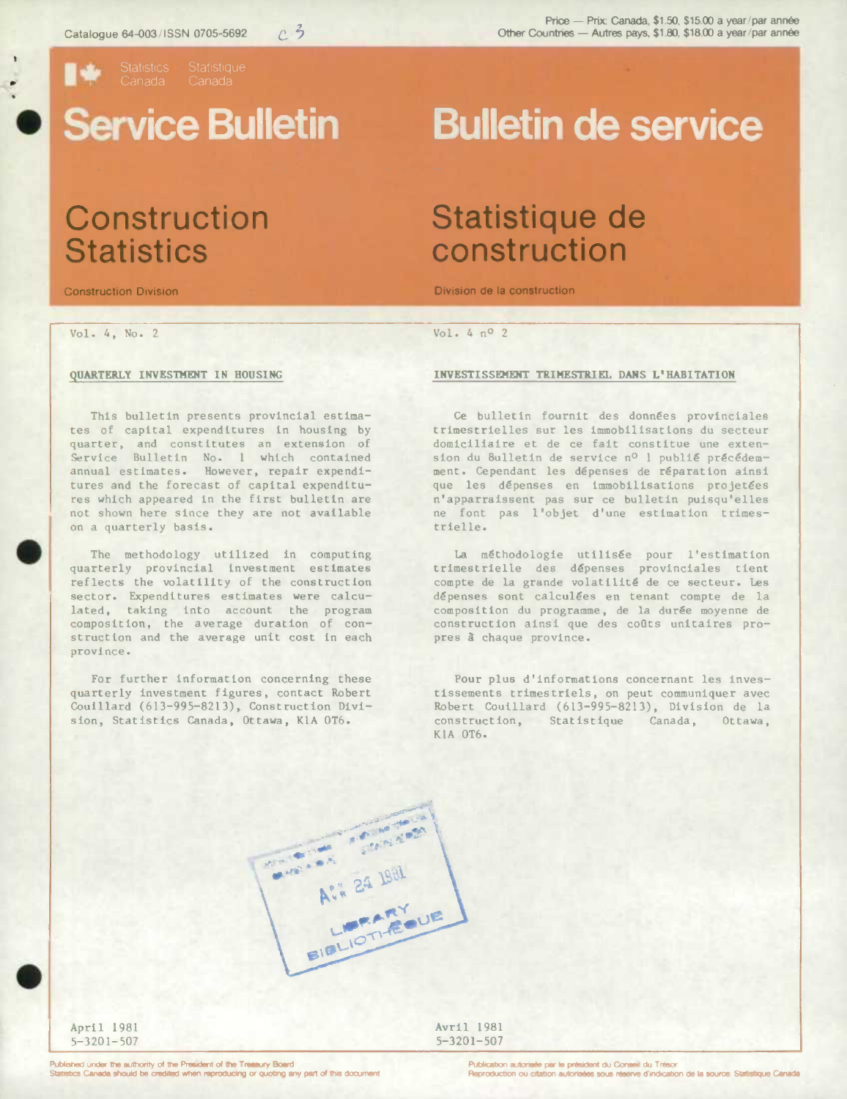

## . **Service Bulletin**

Vol. 4, No. 2 Vol. 4 no 2

.

#### **QUARTERLY INVESTMENT IN HOUSING**

This bulletin presents provincial estimates of capital expenditures in housing by quarter, and constitutes an extension of Service Bulletin No. 1 which contained annual estimates. However, repair expenditures and the forecast of capital expenditures which appeared in the first bulletin are not shown here since they are not available on a quarterly basis.

The methodology utilized In computing quarterly provincial investment estimates reflects the volatility of the construction sector. Expenditures estimates were calculated, taking into account the program composition, the average duration of construction and the average unit cost in each province.

For further information concerning these quarterly investment figures, contact Robert Coulilard (613-995-8213), Construction Division, Statistics Canada, Ottawa, K1A 0T6.

# **Bulletin de service**

### **Construction Statistique de<br>Statistics construction construction**

Construction Division Division de Ia construction

### **INVESTISSEHENT TRIMESTRIEL DANS L' HABITATION**

**Ce** bulletin fournit des donnes provinclales trimestrielles sur les immobilisations du secteur domiciliaire et de ce fait constitue une extension du 8ulletin de service nº l publié précédemment. Cependant les dépenses de réparation ainsi que les dépenses en immobilisations projetées n'apparralssent pas sur ce bulletin puisqu'elles ne font pas l'objet d'une estimation trimestrielle.

La méthodologie utilisée pour l'estimation trimestrielle des dépenses provinciales tient compte de la grande volatilité de ce secteur. Les dépenses sont calculées en tenant compte de la composition du programme, de la durée moyenne de construction ainsi que des coûts unitaires propres à chaque province.

Pour plus d'informationa concernant les investissements trimestriels, on peut communiquer avec Robert Couillard (613-995-8213), Division de la construction, Statistique Canada, Ottawa, K1A 0T6.

.

April 1981 **Avril 1981**<br>5-3201-507 **Avril 1981**  $5 - 3201 - 507$ 

**CONTRACTOR CONSTRUCTION** 

Avii 24 1981

LIBRARY BIBLIOTHEOUE

Published under the authority of the President of the Treatury Board<br>Statistics Canada should be credited when reproducing or quoting any part of this document **of the Configure Constant Configure** Peproduction ou citation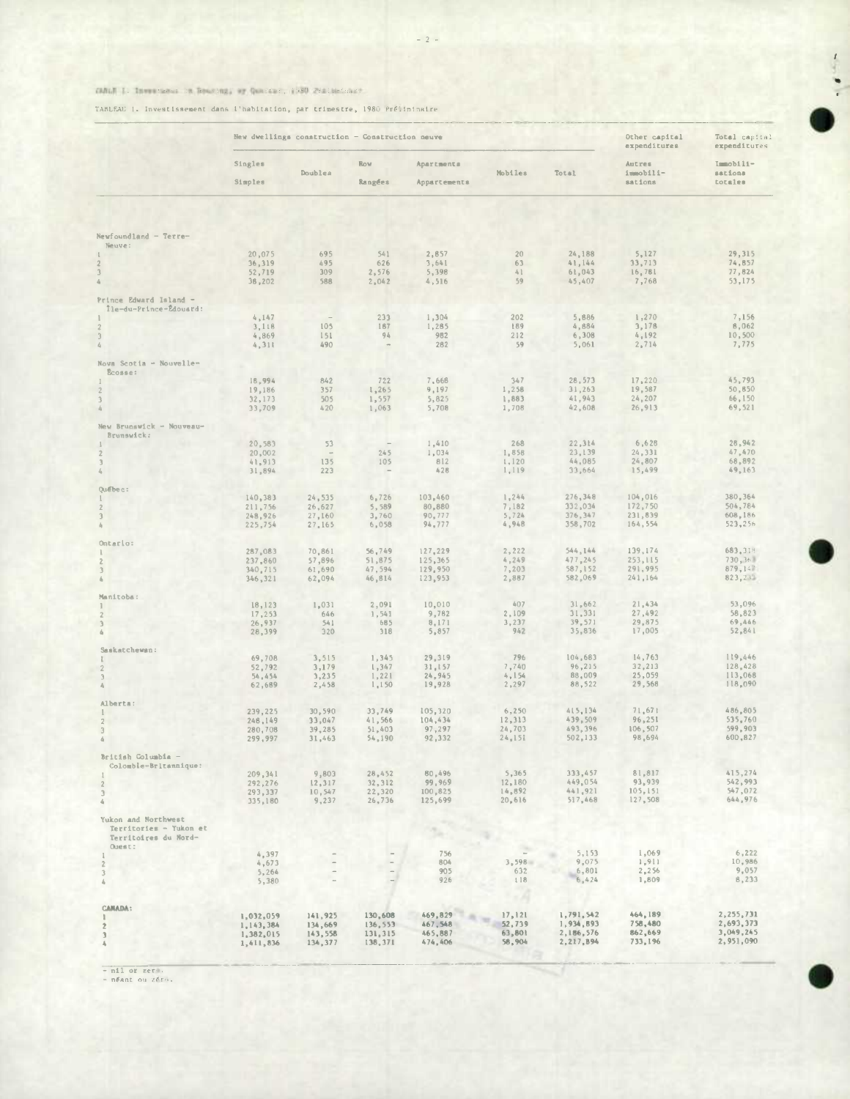### DALE 1: Investoria in Brazing; or Quarter: 1930 Platterinary

TABLEAU 1. Investissement dans l'habitation, par trimestre, 1980 Préitminaire

|                                                                                 |                                                  | New dwellings construction - Construction neuve | Other capital<br>expenditures             | Total capital<br>expenditures            |                                      |                                                  |                                          |                                                  |
|---------------------------------------------------------------------------------|--------------------------------------------------|-------------------------------------------------|-------------------------------------------|------------------------------------------|--------------------------------------|--------------------------------------------------|------------------------------------------|--------------------------------------------------|
|                                                                                 | Singles<br>Simples                               | Doublea                                         | Row<br>Rangées                            | Apartments<br>Appartements               | Mobiles                              | <b>Total</b>                                     | Autres<br>immobili-<br>sations           | Immobili-<br>sations<br>totales                  |
|                                                                                 |                                                  |                                                 |                                           |                                          |                                      |                                                  |                                          |                                                  |
| Newfoundland - Terre-<br>Neuve:                                                 |                                                  |                                                 |                                           |                                          |                                      |                                                  |                                          |                                                  |
|                                                                                 | 20,075<br>36,319<br>52,719<br>36,202             | 695<br>495<br>309<br>588                        | 541<br>626<br>2,576<br>2,042              | 2,857<br>3,641<br>5,398<br>4,516         | 20 <sub>2</sub><br>63<br>41<br>59    | 24,188<br>41,144<br>61,043<br>45,407             | 5,127<br>33,713<br>16,781<br>7,768       | 29,315<br>74,857<br>77,824<br>53,175             |
| Prince Edward Island -<br>lle-du-Prince-Édouard:                                | 4,147                                            |                                                 | 233                                       | 1,304                                    | 202                                  | 5,886                                            | 1,270                                    | 7,156                                            |
| $\mathbf{2}$<br>3<br>4                                                          | 3,118<br>4,869<br>4, 311                         | 105<br>151<br>490                               | 187<br>94                                 | 1,285<br>982<br>282                      | 189<br>212<br>59                     | 4,884<br>6,308<br>5,061                          | 3,178<br>4,192<br>2,714                  | B,062<br>10,500<br>7,775                         |
| Nova Scotia - Nouvelle-<br>Ecosse:                                              |                                                  |                                                 |                                           |                                          |                                      |                                                  |                                          |                                                  |
| $\mathbf{2}$<br>$\sqrt{3}$<br>$\delta_l$                                        | 18,994<br>19,186<br>32,173<br>33,709             | 842<br>357<br>505<br>420                        | 722<br>1,265<br>1,557<br>1,063            | 7,668<br>9,197<br>5,825<br>5,708         | 347<br>1,258<br>1,883<br>1,708       | 28,573<br>31,263<br>41,943<br>42,608             | 17,220<br>19,587<br>24, 207<br>26,913    | 45,793<br>50,850<br>66, 150<br>69,521            |
| New Brunswick - Nouveau-<br>Brunswick:                                          |                                                  |                                                 |                                           |                                          |                                      |                                                  |                                          |                                                  |
| $\overline{2}$<br>$\ensuremath{\mathfrak{Z}}$<br>$\xi_{\rm i}$                  | 20,583<br>20,002<br>41,913<br>31,894             | 53<br>$\sim$<br>135<br>223                      | 245<br>105                                | 1,410<br>1,034<br>812<br>428             | 268<br>1,858<br>1,120<br>1,119       | 22,314<br>23, 139<br>44,085<br>33,664            | 6,628<br>24,331<br>24,807<br>15,499      | 28,942<br>47,470<br>68,892<br>49,163             |
| Québec:                                                                         | 140,383                                          | 24,535                                          | 6,726                                     | 103,460                                  | 1,244                                | 276, 348                                         | 104,016                                  | 380,364                                          |
| 2<br>3                                                                          | 211,756<br>248,926<br>225,754                    | 26,627<br>27,160<br>27,165                      | 5,589<br>3,760<br>6,058                   | 80,880<br>90,777<br>94,777               | 7,182<br>5,724<br>4,948              | 332,034<br>376,347<br>358,702                    | 172,750<br>231,839<br>164,554            | 504,784<br>608,186<br>523,256                    |
| Ontario:                                                                        | 287,083                                          | 70,861                                          | 56,749                                    | 127,229                                  | 2,222                                | 544,144                                          | 139,174                                  | 683, 318                                         |
| 3<br>á                                                                          | 237,860<br>340,715<br>346,321                    | 57,896<br>61,690<br>62,094                      | 51,875<br>47,594<br>46, B14               | 125,365<br>129,950<br>123,953            | 4,249<br>7,203<br>2,887              | 477.245<br>587,152<br>582,069                    | 253, 115<br>291,995<br>241.164           | 730,368<br>879,147<br>823, 23%                   |
| Manitoba:<br>n.                                                                 | 18,123                                           | 1,031                                           | 2,091                                     | 10,010                                   | 407                                  | 31,662                                           | 21,434                                   | 53,096                                           |
| 3                                                                               | 17, 253<br>26,937<br>28,399                      | 646<br>541<br>320                               | 1,541<br>685<br>318                       | 9,782<br>8,171<br>5,857                  | 2,109<br>3,237<br>942                | 31,331<br>39,571<br>35,836                       | 27,492<br>29,875<br>17,005               | 58,823<br>69,446<br>52,841                       |
| Saskatchewan:                                                                   | 69,708                                           | 3,515                                           | 1,345                                     | 29,319                                   | 796                                  | 104,683                                          | 14,763                                   | 119,446                                          |
| $\sqrt{2}$<br>$\mathfrak{Z}$                                                    | 52,792<br>54,454<br>62,689                       | 3,179<br>3,235<br>2,458                         | 1,347<br>1,221<br>1,150                   | 31,157<br>24,945<br>19,928               | 7,740<br>4,154<br>2,297              | 96,215<br>88,009<br>88,522                       | 32,213<br>25,059<br>29,568               | 128,428<br>113,068<br>118,090                    |
| Alberta:                                                                        | 239,225                                          | 30,590                                          | 33,749                                    | 105,320                                  | 6,250                                | 415,134                                          | 71,671                                   | 486,805                                          |
| $\sqrt{2}$<br>$\overline{\mathcal{R}}$                                          | 248,149<br>280,708<br>299,997                    | 33,047<br>39,285<br>31,463                      | 41,566<br>51,403<br>54,190                | 104,434<br>97,297<br>92,332              | 12, 313<br>24,703<br>24,151          | 439,509<br>493,396<br>502,133                    | 96,251<br>106,507<br>98,694              | 535,760<br>599,903<br>600,827                    |
| British Columbia -<br>Colombie-Britannique:                                     |                                                  |                                                 |                                           |                                          |                                      |                                                  |                                          |                                                  |
| $\sqrt{2}$<br>$\ensuremath{\mathfrak{I}}$<br>$\hat{a}_i$                        | 209, 341<br>292,276<br>293,337<br>335,180        | 9,803<br>12,317<br>10,547<br>9,237              | 28,452<br>32, 312<br>22,320<br>26,736     | 80,496<br>99,969<br>100,825<br>125,699   | 5,365<br>12,180<br>14,892<br>20,616  | 333,457<br>449,054<br>441,921<br>517,468         | 81,817<br>93,939<br>105,151<br>127,508   | 415,274<br>542,993<br>547,072<br>644,976         |
| Yukon and Northwest<br>Territories - Yukon et<br>Territoires du Nord-<br>Ouest: |                                                  |                                                 |                                           |                                          |                                      |                                                  |                                          |                                                  |
| ı<br>$\mathbf 2$                                                                | 4,397<br>4,673                                   |                                                 |                                           | 756<br>804                               | 3,598                                | 5,153<br>9,075                                   | 1,069<br>1,911                           | 6,222<br>10,986                                  |
| $\bar{3}$<br>4                                                                  | 5,264<br>5,380                                   |                                                 |                                           | 905<br>926                               | 632<br>118<br>- 3                    | 6,801<br>6,424                                   | 2, 256<br>1,809                          | 9,057<br>8,233                                   |
| <b>CARADA:</b><br>$\overline{z}$<br>$\overline{3}$                              | 1,032,059<br>1,143,384<br>1,382,015<br>1,411,836 | 141,925<br>134,669<br>143,558<br>134,377        | 130,608<br>136,553<br>131, 315<br>138,371 | 469,829<br>467,548<br>465,887<br>474,406 | 17,121<br>52,739<br>63,801<br>58,904 | 1,791,542<br>1,934,893<br>2,186,576<br>2,217,894 | 464,189<br>758,480<br>862,669<br>733,196 | 2,255,731<br>2,693,373<br>3,049,245<br>2,951,090 |

 $=$  nil or zer.<br>- néant ou zéro.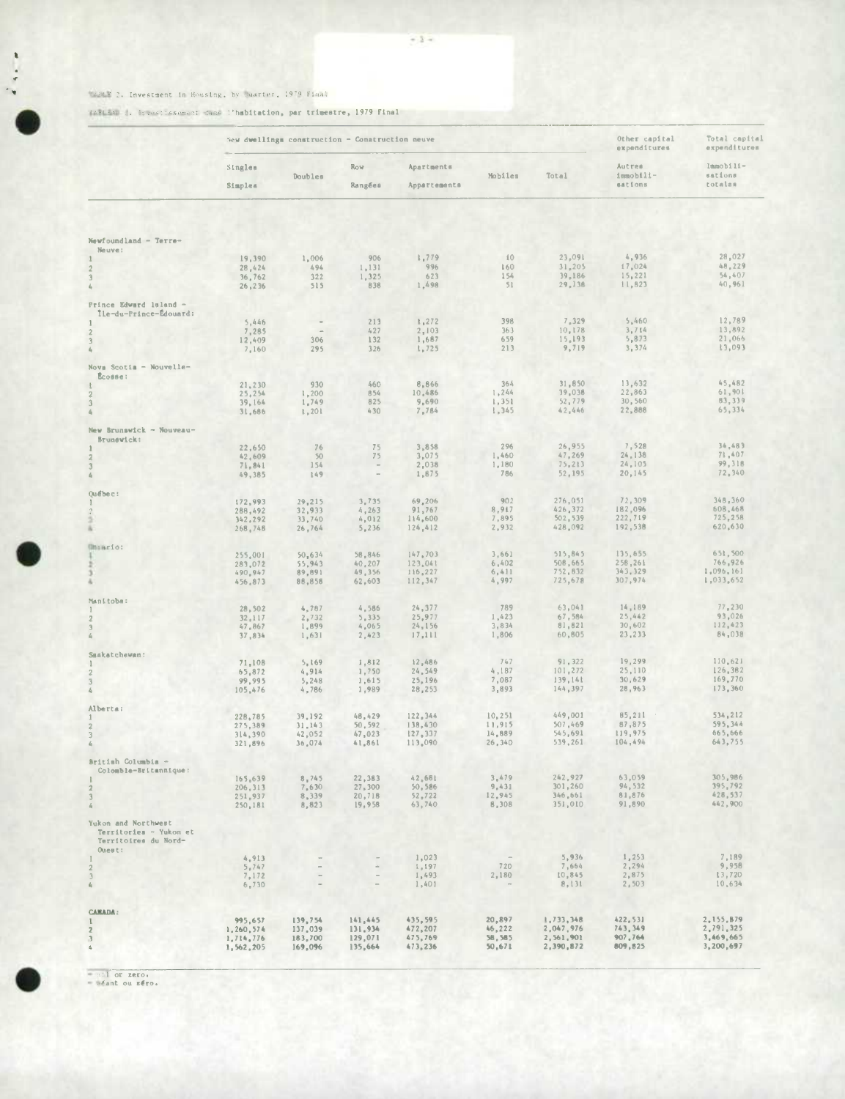### There 2. Investment in Housing, by Suarter, 1979 Fiaml

TATLEND 1. Investissement dans l'habitation, par trimestre, 1979 Final

|                                                                                 |                        | New dwellings construction - Construction neuve | Other capital<br>expenditures | Total capital<br>expenditures |                  |                        |                                |                                 |
|---------------------------------------------------------------------------------|------------------------|-------------------------------------------------|-------------------------------|-------------------------------|------------------|------------------------|--------------------------------|---------------------------------|
|                                                                                 | Singles<br>Simples     | Doubles                                         | <b>ROW</b><br>Rangées         | Apartments<br>Appartements    | Mobiles          | Total                  | Autres<br>immobili-<br>aations | Immobili-<br>sations<br>totalas |
|                                                                                 |                        |                                                 |                               |                               |                  |                        |                                |                                 |
| Newfoundland - Terre-<br>Neuve:                                                 |                        |                                                 |                               |                               |                  |                        |                                |                                 |
|                                                                                 | 19,390<br>28,424       | 1,006<br>494                                    | 906<br>1,131                  | 1,779<br>996                  | 10<br>160        | 23,091<br>31,205       | 4,936<br>17,024                | 28,027<br>48,229                |
| $\mathbf{2}$<br>$\overline{3}$<br>4                                             | 36,762<br>26, 236      | 322<br>515                                      | 1,325<br>838                  | 623<br>1,498                  | 154<br>51        | 39,186<br>29,138       | 15,221<br>11,823               | 54,407<br>40,961                |
| Prince Edward 1sland -                                                          |                        |                                                 |                               |                               |                  |                        |                                |                                 |
| Île-du-Prince-Édouard:                                                          | 5,446                  | $\sim$                                          | 213                           | 1,272                         | 398              | 7,329                  | 5,460                          | 12,789                          |
|                                                                                 | 7,285                  |                                                 | 427                           | 2,103<br>1,687                | 363<br>659       | 10,178<br>15,193       | 3,714<br>5,873                 | 13,892<br>21,066                |
| 3                                                                               | 12,409<br>7,160        | 306<br>295                                      | 132<br>326                    | 1,725                         | 213              | 9,719                  | 3,374                          | 13,093                          |
| Novs Scotia - Nouvelle-<br>Ecosse:                                              |                        |                                                 |                               |                               |                  |                        |                                |                                 |
|                                                                                 | 21,230                 | 930                                             | 460<br>854                    | 8,866<br>10,486               | 364<br>1,244     | 31,850<br>39,038       | 13,632<br>22,863               | 45,482<br>61,901                |
| 2<br>$\mathfrak{I}$                                                             | 25,254<br>39,164       | 1,200<br>1,749<br>1,201                         | 825<br>430                    | 9,690<br>7,784                | 1,351<br>1,345   | 52,779<br>42.446       | 30,560<br>22,888               | 83,339<br>65,334                |
| New Brunswick - Nouveau-                                                        | 31,686                 |                                                 |                               |                               |                  |                        |                                |                                 |
| Brunswick:                                                                      |                        | 76                                              | 75                            | 3,858                         | 296              | 26,955                 | 7,528                          | 34,483                          |
|                                                                                 | 22,650<br>42,609       | 50                                              | 75                            | 3,075                         | 1,460            | 47,269                 | 24,138                         | 71,407<br>99,318                |
|                                                                                 | 71,841<br>49,385       | 154<br>149                                      | $\sim$                        | 2,038<br>1,875                | 1,180<br>786     | 75,213<br>52,195       | 24,105<br>20,145               | 72,340                          |
| Québec:                                                                         |                        |                                                 |                               |                               |                  |                        |                                |                                 |
|                                                                                 | 172,993<br>288,492     | 29,215<br>32,933                                | 3,735<br>4, 263               | 69,206<br>91,767              | 902<br>8,917     | 276,051<br>426,372     | 72,309<br>182,096              | 348,360<br>608,468              |
|                                                                                 | 342,292<br>268,748     | 33,740<br>26,764                                | 4,012<br>5,236                | 114,600<br>124,412            | 7,895<br>2,932   | 502, 539<br>428,092    | 222,719<br>192,538             | 725,258<br>620,630              |
| <b>Uniario:</b>                                                                 |                        |                                                 |                               |                               |                  |                        |                                |                                 |
|                                                                                 | 255,001<br>283,072     | 50,634<br>55,943                                | 58,846<br>40,207              | 147,703<br>123,041            | 3,661<br>6,402   | 515,845<br>508,665     | 135,655<br>258,261             | 651,500<br>766,926              |
|                                                                                 | 490,947<br>456,873     | 89,891<br>88,858                                | 49,356<br>62,603              | 116,227<br>112,347            | 6,411<br>4,997   | 752,832<br>725,678     | 343,329<br>307,974             | 1,096,161<br>1,033,652          |
| Manitoba:                                                                       |                        |                                                 |                               |                               |                  |                        |                                |                                 |
| $\mathbf{2}$                                                                    | 28,502<br>32,117       | 4,787<br>2,732                                  | 4,586<br>5,335                | 24, 377<br>25,977             | 789<br>1,423     | 63,041<br>67,584       | 14,189<br>25,442               | 77,230<br>93,026                |
|                                                                                 | 47,867<br>37,834       | 1,899<br>1,631                                  | 4,065<br>2,423                | 24,156<br>17,111              | 3,834<br>1,806   | 81,821<br>60,805       | 30,602<br>23,233               | 112,423<br>84,038               |
| Saskatchewan:                                                                   |                        |                                                 |                               |                               |                  |                        |                                |                                 |
|                                                                                 | 71,108                 | 5,169<br>4,914                                  | 1,812<br>1,750                | 12,486<br>24,549              | 747<br>4,187     | 91, 322<br>101, 272    | 19,299<br>25,110               | 110,621<br>126,382              |
| 2<br>3                                                                          | 65,872<br>99,995       | 5,248                                           | 1,615                         | 25,196                        | 7,087            | 139,141                | 30,629                         | 169,770                         |
|                                                                                 | 105,476                | 4,786                                           | 1,989                         | 28,253                        | 3,893            | 144, 397               | 28,963                         | 173,360                         |
| Alberta:                                                                        | 228,785                | 39,192                                          | 48,429                        | 122,344                       | 10, 251          | 449,001                | 85,211                         | 534,212                         |
| 3                                                                               | 275,389<br>314,390     | 31,143<br>42,052                                | 50,592<br>47,023              | 138,430<br>127,337            | 11,915<br>14,889 | 507,469<br>545,691     | 87,875<br>119,975              | 595,344<br>665,666              |
|                                                                                 | 321,896                | 36,074                                          | 41,861                        | 113,090                       | 26,340           | 539,261                | 104,494                        | 643,755                         |
| British Columbia -<br>Colomble-Britannique:                                     |                        |                                                 |                               |                               |                  |                        |                                |                                 |
| $\overline{2}$                                                                  | 165,639<br>206, 313    | 8,745<br>7,630                                  | 22,383<br>27,300              | 42,681<br>50,586              | 3,479<br>9,431   | 242,927<br>301,260     | 63,059<br>94,532               | 305,986<br>395,792              |
| $\overline{\mathbf{3}}$<br>$\vec{z}_0$                                          | 251,937<br>250,181     | 8,339<br>8,823                                  | 20,718<br>19,958              | 52,722<br>63,740              | 12,945<br>8,308  | 346,661<br>351,010     | 81,876<br>91,890               | 428,537<br>442,900              |
| Yukon and Northwest<br>Territories - Yukon et<br>Territoires du Nord-<br>Ouest: |                        |                                                 |                               |                               |                  |                        |                                |                                 |
| $\sqrt{2}$                                                                      | 4,913<br>5,747         |                                                 | $\alpha$                      | 1,023<br>1,197                | 720              | 5,936<br>7,664         | 1,253<br>2,294                 | 7,189<br>9,958                  |
| $\overline{3}$<br>$d_{\rm F}$                                                   | 7,172<br>6,730         |                                                 | $\overline{\phantom{a}}$      | 1,493<br>1,401                | 2,180            | 10,845<br>8,131        | 2,875<br>2,503                 | 13,720<br>10,634                |
|                                                                                 |                        |                                                 |                               |                               |                  |                        |                                |                                 |
| <b>CAMADA:</b><br>$\mathbf{I}$                                                  | 995,657                | 139,754                                         | 141,445                       | 435,595                       | 20,897           | 1,733,348              | 422,531                        | 2,155,879                       |
| $\overline{\mathbf{z}}$<br>$\ensuremath{\mathfrak{z}}$                          | 1,260,574<br>1,714,776 | 137,039<br>183,700                              | 131,934<br>129,071            | 472,207<br>475,769            | 46,222<br>58,585 | 2,047,976<br>2,561,901 | 743,349<br>907,764             | 2,791,325<br>3,469,665          |
| 6                                                                               | 1,562,205              | 169,096                                         | 135,664                       | 473,236                       | 50,671           | 2,390,872              | 809,825                        | 3,200,697                       |

 $= 11$  or zero.<br>=  $4$  ant ou zero.